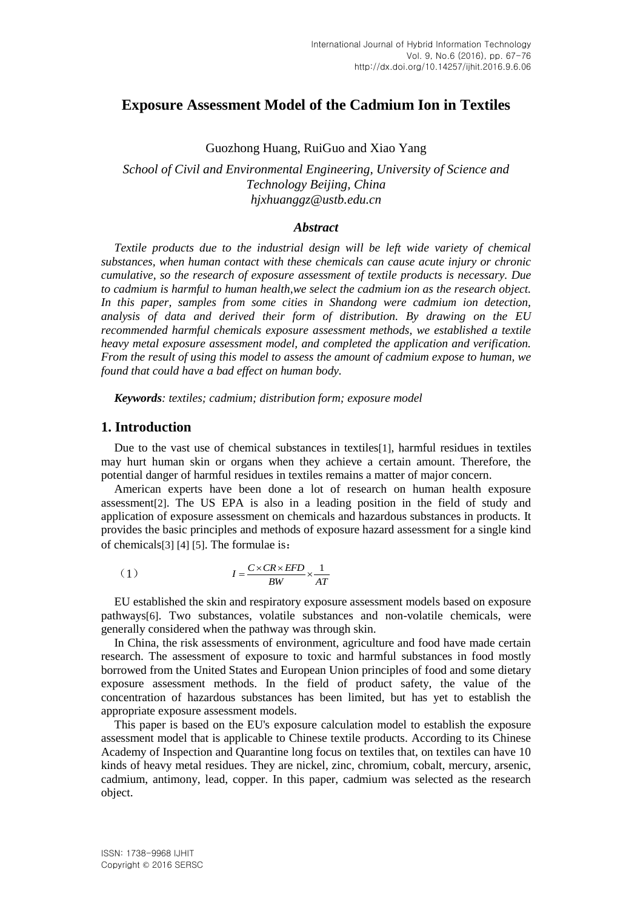# **Exposure Assessment Model of the Cadmium Ion in Textiles**

### Guozhong Huang, RuiGuo and Xiao Yang

*School of Civil and Environmental Engineering, University of Science and Technology Beijing, China hjxhuanggz@ustb.edu.cn*

#### *Abstract*

*Textile products due to the industrial design will be left wide variety of chemical substances, when human contact with these chemicals can cause acute injury or chronic cumulative, so the research of exposure assessment of textile products is necessary. Due to cadmium is harmful to human health,we select the cadmium ion as the research object. In this paper, samples from some cities in Shandong were cadmium ion detection, analysis of data and derived their form of distribution. By drawing on the EU recommended harmful chemicals exposure assessment methods, we established a textile heavy metal exposure assessment model, and completed the application and verification. From the result of using this model to assess the amount of cadmium expose to human, we found that could have a bad effect on human body.*

*Keywords: textiles; cadmium; distribution form; exposure model*

## **1. Introduction**

Due to the vast use of chemical substances in textiles<sup>[1]</sup>, harmful residues in textiles may hurt human skin or organs when they achieve a certain amount. Therefore, the potential danger of harmful residues in textiles remains a matter of major concern.

American experts have been done a lot of research on human health exposure assessment[2]. The US EPA is also in a leading position in the field of study and application of exposure assessment on chemicals and hazardous substances in products. It provides the basic principles and methods of exposure hazard assessment for a single kind of chemicals[3] [4] [5]. The formulae is:

$$
(1) \tI = \frac{C \times CR \times EFD}{BW} \times \frac{1}{AT}
$$

EU established the skin and respiratory exposure assessment models based on exposure pathways[6]. Two substances, volatile substances and non-volatile chemicals, were generally considered when the pathway was through skin.

In China, the risk assessments of environment, agriculture and food have made certain research. The assessment of exposure to toxic and harmful substances in food mostly borrowed from the United States and European Union principles of food and some dietary exposure assessment methods. In the field of product safety, the value of the concentration of hazardous substances has been limited, but has yet to establish the appropriate exposure assessment models.

This paper is based on the EU's exposure calculation model to establish the exposure assessment model that is applicable to Chinese textile products. According to its Chinese Academy of Inspection and Quarantine long focus on textiles that, on textiles can have 10 kinds of heavy metal residues. They are nickel, zinc, chromium, cobalt, mercury, arsenic, cadmium, antimony, lead, copper. In this paper, cadmium was selected as the research object.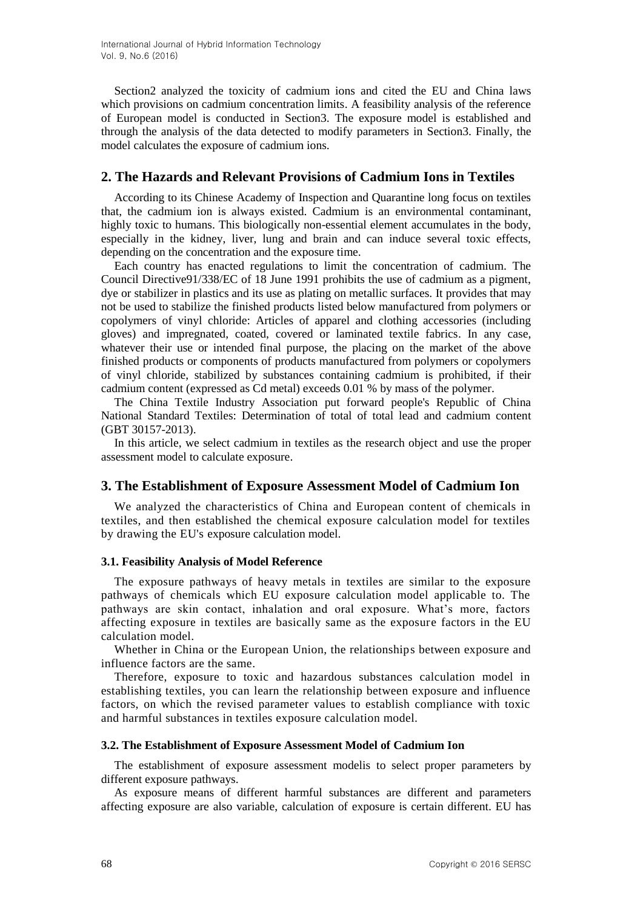Section2 analyzed the toxicity of cadmium ions and cited the EU and China laws which provisions on cadmium concentration limits. A feasibility analysis of the reference of European model is conducted in Section3. The exposure model is established and through the analysis of the data detected to modify parameters in Section3. Finally, the model calculates the exposure of cadmium ions.

## **2. The Hazards and Relevant Provisions of Cadmium Ions in Textiles**

According to its Chinese Academy of Inspection and Quarantine long focus on textiles that, the cadmium ion is always existed. Cadmium is an environmental contaminant, highly toxic to humans. This biologically non-essential element accumulates in the body, especially in the kidney, liver, lung and brain and can induce several toxic effects, depending on the concentration and the exposure time.

Each country has enacted regulations to limit the concentration of cadmium. The Council Directive91/338/EC of 18 June 1991 prohibits the use of cadmium as a pigment, dye or stabilizer in plastics and its use as plating on metallic surfaces. It provides that may not be used to stabilize the finished products listed below manufactured from polymers or copolymers of vinyl chloride: Articles of apparel and clothing accessories (including gloves) and impregnated, coated, covered or laminated textile fabrics. In any case, whatever their use or intended final purpose, the placing on the market of the above finished products or components of products manufactured from polymers or copolymers of vinyl chloride, stabilized by substances containing cadmium is prohibited, if their cadmium content (expressed as Cd metal) exceeds 0.01 % by mass of the polymer.

The China Textile Industry Association put forward people's Republic of China National Standard Textiles: Determination of total of total lead and cadmium content (GBT 30157-2013).

In this article, we select cadmium in textiles as the research object and use the proper assessment model to calculate exposure.

## **3. The Establishment of Exposure Assessment Model of Cadmium Ion**

We analyzed the characteristics of China and European content of chemicals in textiles, and then established the chemical exposure calculation model for textiles by drawing the EU's exposure calculation model.

## **3.1. Feasibility Analysis of Model Reference**

The exposure pathways of heavy metals in textiles are similar to the exposure pathways of chemicals which EU exposure calculation model applicable to. The pathways are skin contact, inhalation and oral exposure. What's more, factors affecting exposure in textiles are basically same as the exposure factors in the EU calculation model.

Whether in China or the European Union, the relationships between exposure and influence factors are the same.

Therefore, exposure to toxic and hazardous substances calculation model in establishing textiles, you can learn the relationship between exposure and influence factors, on which the revised parameter values to establish compliance with toxic and harmful substances in textiles exposure calculation model.

#### **3.2. The Establishment of Exposure Assessment Model of Cadmium Ion**

The establishment of exposure assessment modelis to select proper parameters by different exposure pathways.

As exposure means of different harmful substances are different and parameters affecting exposure are also variable, calculation of exposure is certain different. EU has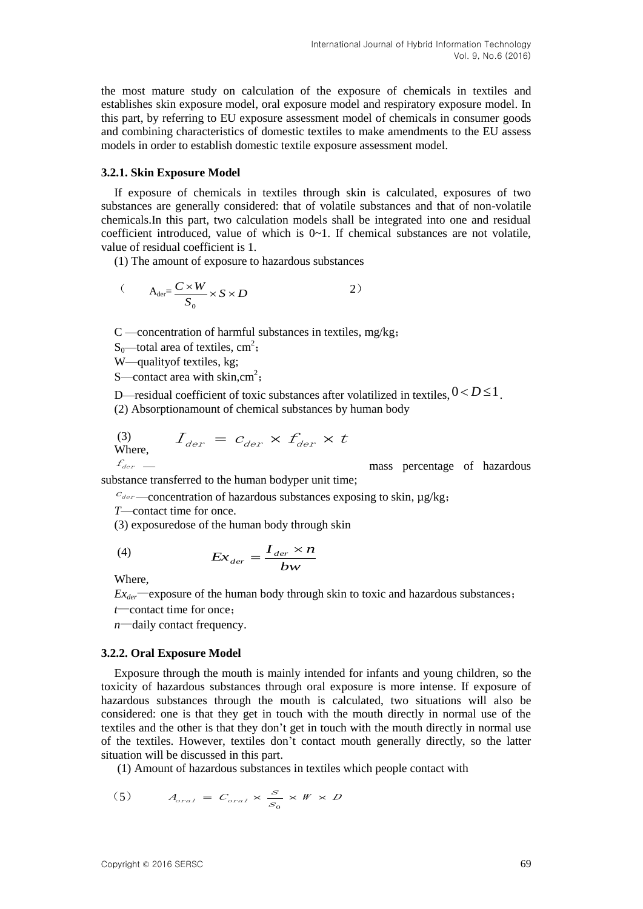the most mature study on calculation of the exposure of chemicals in textiles and establishes skin exposure model, oral exposure model and respiratory exposure model. In this part, by referring to EU exposure assessment model of chemicals in consumer goods and combining characteristics of domestic textiles to make amendments to the EU assess models in order to establish domestic textile exposure assessment model.

#### **3.2.1. Skin Exposure Model**

If exposure of chemicals in textiles through skin is calculated, exposures of two substances are generally considered: that of volatile substances and that of non-volatile chemicals.In this part, two calculation models shall be integrated into one and residual coefficient introduced, value of which is  $0\nu$ . If chemical substances are not volatile, value of residual coefficient is 1.

(1) The amount of exposure to hazardous substances

$$
(A_{\text{der}} = \frac{C \times W}{S_0} \times S \times D \qquad (2)
$$

C —concentration of harmful substances in textiles, mg/kg;

S<sub>0</sub>—total area of textiles,  $cm^2$ ;

W—qualityof textiles, kg;

S—contact area with skin,  $cm<sup>2</sup>$ ;

D—residual coefficient of toxic substances after volatilized in textiles,  $0 < D \le 1$ .

(2) Absorptionamount of chemical substances by human body

(3) 
$$
I_{der} = C_{der} \times f_{der} \times t
$$
  
Where, 
$$
f_{der} =
$$

— mass percentage of hazardous

substance transferred to the human bodyper unit time;

 $c_{\text{der}}$  —concentration of hazardous substances exposing to skin, µg/kg;

*T*—contact time for once.

(3) exposuredose of the human body through skin

$$
(4) \t\t Ex_{der} = \frac{I_{der} \times n}{bw}
$$

Where,

 $Ex_{der}$ —exposure of the human body through skin to toxic and hazardous substances;

*t*—contact time for once;

*n*—daily contact frequency.

#### **3.2.2. Oral Exposure Model**

Exposure through the mouth is mainly intended for infants and young children, so the toxicity of hazardous substances through oral exposure is more intense. If exposure of hazardous substances through the mouth is calculated, two situations will also be considered: one is that they get in touch with the mouth directly in normal use of the textiles and the other is that they don't get in touch with the mouth directly in normal use of the textiles. However, textiles don't contact mouth generally directly, so the latter situation will be discussed in this part.

(1) Amount of hazardous substances in textiles which people contact with

(5) 
$$
A_{oral} = C_{oral} \times \frac{S}{S_0} \times W \times D
$$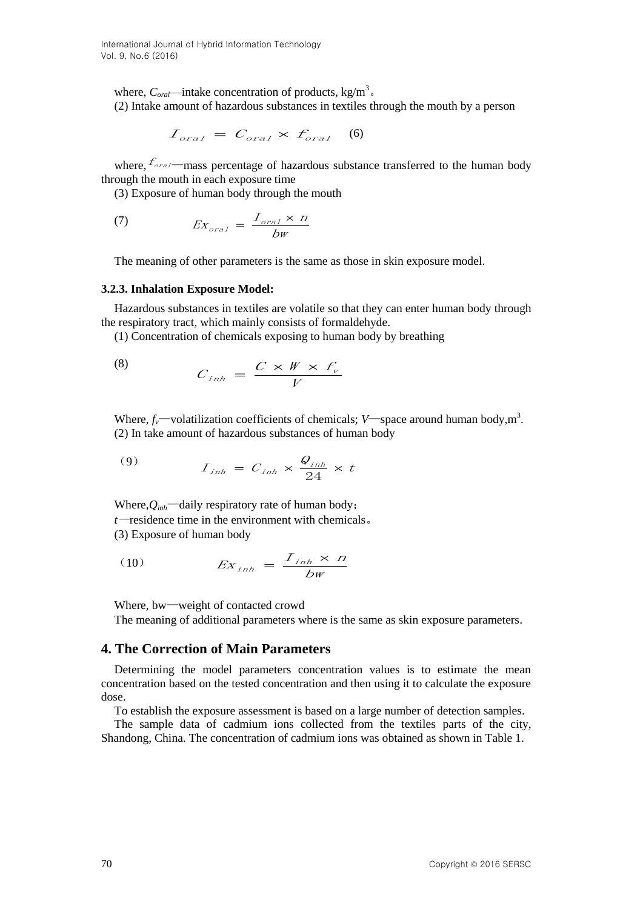where,  $C_{\text{or}a}$ —intake concentration of products, kg/m<sup>3</sup>. (2) Intake amount of hazardous substances in textiles through the mouth by a person

$$
I_{oral} = C_{oral} \times f_{oral} \quad (6)
$$

where,  $f_{\text{oral}}$ —mass percentage of hazardous substance transferred to the human body through the mouth in each exposure time

(3) Exposure of human body through the mouth

(7) 
$$
Ex_{oral} = \frac{I_{oral} \times n}{bw}
$$

The meaning of other parameters is the same as those in skin exposure model.

#### **3.2.3. Inhalation Exposure Model:**

Hazardous substances in textiles are volatile so that they can enter human body through the respiratory tract, which mainly consists of formaldehyde.

(1) Concentration of chemicals exposing to human body by breathing

$$
(8) \tCinh = \frac{C \times W \times f_v}{V}
$$

Where,  $f_v$ —volatilization coefficients of chemicals; *V*—space around human body, m<sup>3</sup>. (2) In take amount of hazardous substances of human body

$$
(9) \tIinh = Cinh \times \frac{Q_{inh}}{24} \times t
$$

Where, $Q_{inh}$ —daily respiratory rate of human body; *t*—residence time in the environment with chemicals。 (3) Exposure of human body

$$
(10) \t\t Exinh = \frac{Iinh × n}{bw}
$$

Where, bw—weight of contacted crowd

The meaning of additional parameters where is the same as skin exposure parameters.

## **4. The Correction of Main Parameters**

Determining the model parameters concentration values is to estimate the mean concentration based on the tested concentration and then using it to calculate the exposure dose.

To establish the exposure assessment is based on a large number of detection samples.

The sample data of cadmium ions collected from the textiles parts of the city, Shandong, China. The concentration of cadmium ions was obtained as shown in Table 1.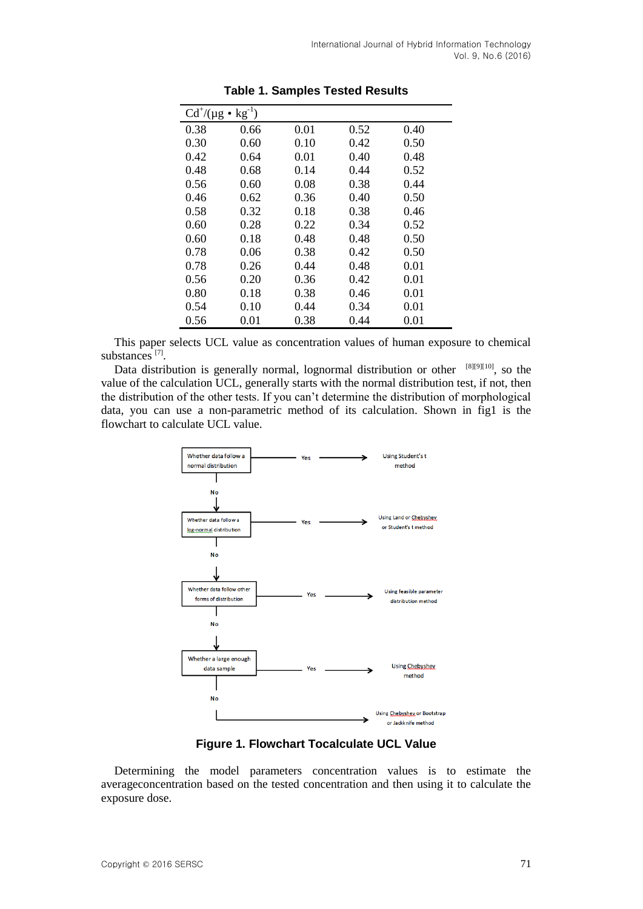| $Cd^{\dagger}/(\mu g \bullet kg^{-1})$ |      |      |      |      |  |
|----------------------------------------|------|------|------|------|--|
| 0.38                                   | 0.66 | 0.01 | 0.52 | 0.40 |  |
| 0.30                                   | 0.60 | 0.10 | 0.42 | 0.50 |  |
| 0.42                                   | 0.64 | 0.01 | 0.40 | 0.48 |  |
| 0.48                                   | 0.68 | 0.14 | 0.44 | 0.52 |  |
| 0.56                                   | 0.60 | 0.08 | 0.38 | 0.44 |  |
| 0.46                                   | 0.62 | 0.36 | 0.40 | 0.50 |  |
| 0.58                                   | 0.32 | 0.18 | 0.38 | 0.46 |  |
| 0.60                                   | 0.28 | 0.22 | 0.34 | 0.52 |  |
| 0.60                                   | 0.18 | 0.48 | 0.48 | 0.50 |  |
| 0.78                                   | 0.06 | 0.38 | 0.42 | 0.50 |  |
| 0.78                                   | 0.26 | 0.44 | 0.48 | 0.01 |  |
| 0.56                                   | 0.20 | 0.36 | 0.42 | 0.01 |  |
| 0.80                                   | 0.18 | 0.38 | 0.46 | 0.01 |  |
| 0.54                                   | 0.10 | 0.44 | 0.34 | 0.01 |  |
| 0.56                                   | 0.01 | 0.38 | 0.44 | 0.01 |  |

**Table 1. Samples Tested Results**

This paper selects UCL value as concentration values of human exposure to chemical substances<sup>[7]</sup>.

Data distribution is generally normal, lognormal distribution or other  $[8][9][10]$ , so the value of the calculation UCL, generally starts with the normal distribution test, if not, then the distribution of the other tests. If you can't determine the distribution of morphological data, you can use a non-parametric method of its calculation. Shown in fig1 is the flowchart to calculate UCL value.



**Figure 1. Flowchart Tocalculate UCL Value**

Determining the model parameters concentration values is to estimate the averageconcentration based on the tested concentration and then using it to calculate the exposure dose.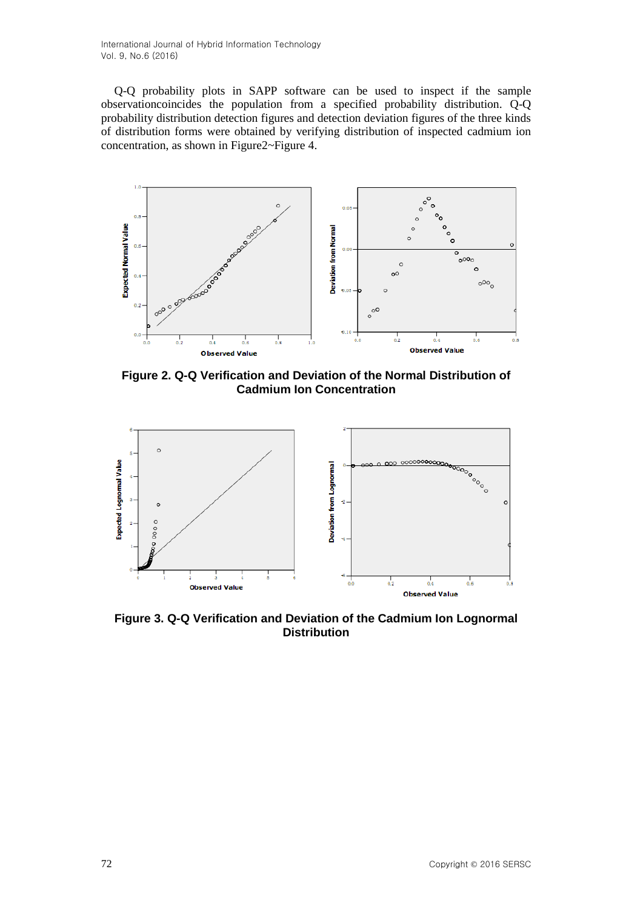Q-Q probability plots in SAPP software can be used to inspect if the sample observationcoincides the population from a specified probability distribution. Q-Q probability distribution detection figures and detection deviation figures of the three kinds of distribution forms were obtained by verifying distribution of inspected cadmium ion concentration, as shown in Figure2~Figure 4.



**Figure 2. Q-Q Verification and Deviation of the Normal Distribution of Cadmium Ion Concentration**



**Figure 3. Q-Q Verification and Deviation of the Cadmium Ion Lognormal Distribution**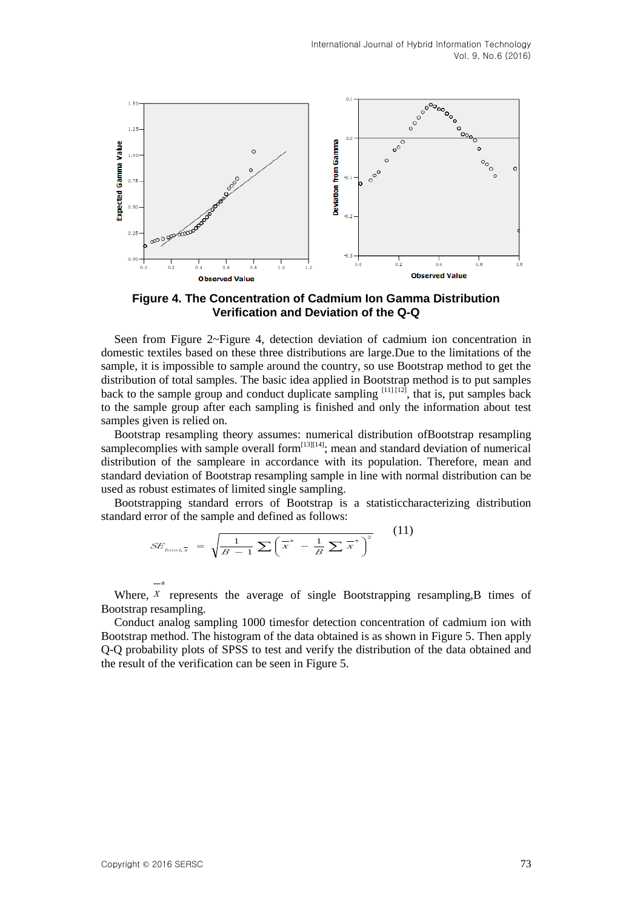

**Figure 4. The Concentration of Cadmium Ion Gamma Distribution Verification and Deviation of the Q-Q**

Seen from Figure 2~Figure 4, detection deviation of cadmium ion concentration in domestic textiles based on these three distributions are large.Due to the limitations of the sample, it is impossible to sample around the country, so use Bootstrap method to get the distribution of total samples. The basic idea applied in Bootstrap method is to put samples back to the sample group and conduct duplicate sampling  $[11]$   $[12]$ , that is, put samples back to the sample group after each sampling is finished and only the information about test samples given is relied on.

Bootstrap resampling theory assumes: numerical distribution ofBootstrap resampling samplecomplies with sample overall form $[13][14]$ ; mean and standard deviation of numerical distribution of the sampleare in accordance with its population. Therefore, mean and standard deviation of Bootstrap resampling sample in line with normal distribution can be used as robust estimates of limited single sampling.

Bootstrapping standard errors of Bootstrap is a statisticcharacterizing distribution standard error of the sample and defined as follows:

$$
SE_{\text{boot}^{\perp}_{x}} = \sqrt{\frac{1}{B-1} \sum \left(\frac{x^*}{A} - \frac{1}{B} \sum \frac{x^*}{A}\right)^2} \tag{11}
$$

Where,  $X$  represents the average of single Bootstrapping resampling, B times of Bootstrap resampling.

Conduct analog sampling 1000 timesfor detection concentration of cadmium ion with Bootstrap method. The histogram of the data obtained is as shown in Figure 5. Then apply Q-Q probability plots of SPSS to test and verify the distribution of the data obtained and the result of the verification can be seen in Figure 5.

\*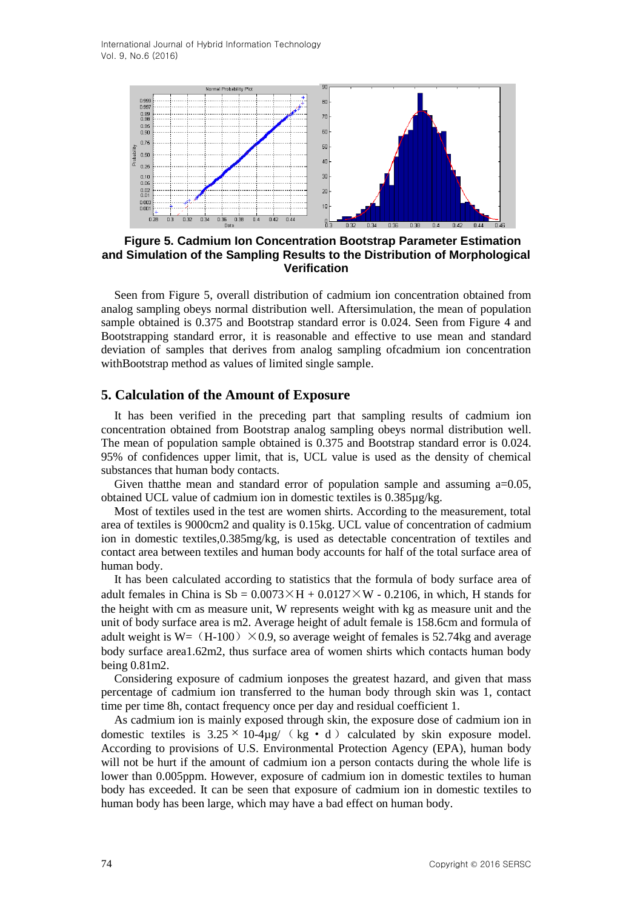

**Figure 5. Cadmium Ion Concentration Bootstrap Parameter Estimation and Simulation of the Sampling Results to the Distribution of Morphological Verification**

Seen from Figure 5, overall distribution of cadmium ion concentration obtained from analog sampling obeys normal distribution well. Aftersimulation, the mean of population sample obtained is 0.375 and Bootstrap standard error is 0.024. Seen from Figure 4 and Bootstrapping standard error, it is reasonable and effective to use mean and standard deviation of samples that derives from analog sampling ofcadmium ion concentration withBootstrap method as values of limited single sample.

## **5. Calculation of the Amount of Exposure**

It has been verified in the preceding part that sampling results of cadmium ion concentration obtained from Bootstrap analog sampling obeys normal distribution well. The mean of population sample obtained is 0.375 and Bootstrap standard error is 0.024. 95% of confidences upper limit, that is, UCL value is used as the density of chemical substances that human body contacts.

Given that the mean and standard error of population sample and assuming a=0.05, obtained UCL value of cadmium ion in domestic textiles is 0.385µg/kg.

Most of textiles used in the test are women shirts. According to the measurement, total area of textiles is 9000cm2 and quality is 0.15kg. UCL value of concentration of cadmium ion in domestic textiles,0.385mg/kg, is used as detectable concentration of textiles and contact area between textiles and human body accounts for half of the total surface area of human body.

It has been calculated according to statistics that the formula of body surface area of adult females in China is  $Sb = 0.0073 \times H + 0.0127 \times W - 0.2106$ , in which, H stands for the height with cm as measure unit, W represents weight with kg as measure unit and the unit of body surface area is m2. Average height of adult female is 158.6cm and formula of adult weight is W= (H-100)  $\times$ 0.9, so average weight of females is 52.74kg and average body surface area1.62m2, thus surface area of women shirts which contacts human body being 0.81m2.

Considering exposure of cadmium ionposes the greatest hazard, and given that mass percentage of cadmium ion transferred to the human body through skin was 1, contact time per time 8h, contact frequency once per day and residual coefficient 1.

As cadmium ion is mainly exposed through skin, the exposure dose of cadmium ion in domestic textiles is  $3.25 \times 10^{-4}$ µg/ (kg • d) calculated by skin exposure model. According to provisions of U.S. Environmental Protection Agency (EPA), human body will not be hurt if the amount of cadmium ion a person contacts during the whole life is lower than 0.005ppm. However, exposure of cadmium ion in domestic textiles to human body has exceeded. It can be seen that exposure of cadmium ion in domestic textiles to human body has been large, which may have a bad effect on human body.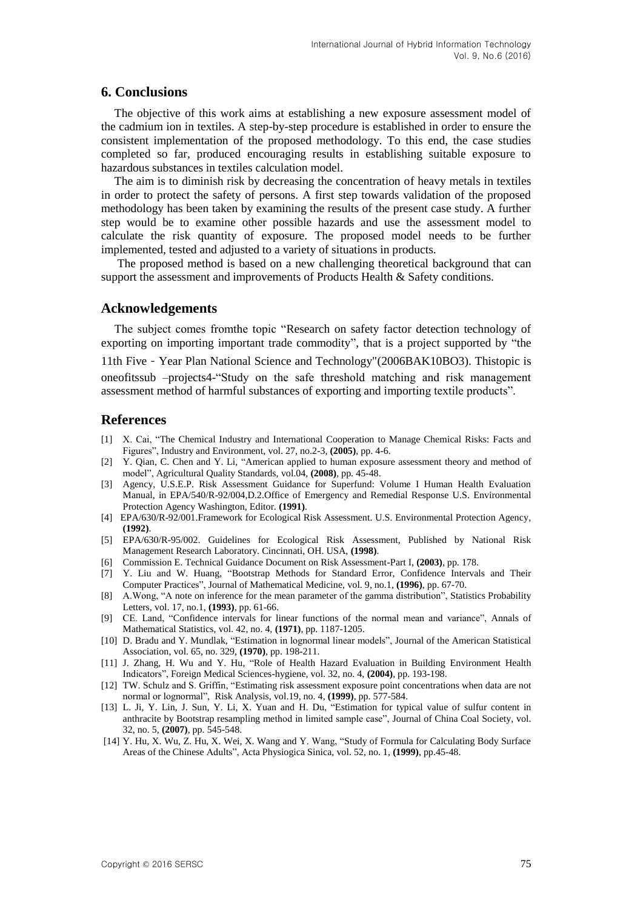## **6. Conclusions**

The objective of this work aims at establishing a new exposure assessment model of the cadmium ion in textiles. A step-by-step procedure is established in order to ensure the consistent implementation of the proposed methodology. To this end, the case studies completed so far, produced encouraging results in establishing suitable exposure to hazardous substances in textiles calculation model.

The aim is to diminish risk by decreasing the concentration of heavy metals in textiles in order to protect the safety of persons. A first step towards validation of the proposed methodology has been taken by examining the results of the present case study. A further step would be to examine other possible hazards and use the assessment model to calculate the risk quantity of exposure. The proposed model needs to be further implemented, tested and adjusted to a variety of situations in products.

The proposed method is based on a new challenging theoretical background that can support the assessment and improvements of Products Health & Safety conditions.

### **Acknowledgements**

The subject comes from the topic "Research on safety factor detection technology of exporting on importing important trade commodity", that is a project supported by "the 11th Five-Year Plan National Science and Technology"(2006BAK10BO3). Thistopic is oneofitssub –projects4-―Study on the safe threshold matching and risk management assessment method of harmful substances of exporting and importing textile products".

### **References**

- [1] X. Cai, "The Chemical Industry and International Cooperation to Manage Chemical Risks: Facts and Figures‖, Industry and Environment, vol. 27, no.2-3, **(2005)**, pp. 4-6.
- [2] Y. Qian, C. Chen and Y. Li, "American applied to human exposure assessment theory and method of model", Agricultural Quality Standards, vol.04,  $(2008)$ , pp. 45-48.
- [3] Agency, U.S.E.P. Risk Assessment Guidance for Superfund: Volume I Human Health Evaluation Manual, in EPA/540/R-92/004,D.2.Office of Emergency and Remedial Response U.S. Environmental Protection Agency Washington, Editor. **(1991)**.
- [4] EPA/630/R-92/001.Framework for Ecological Risk Assessment. U.S. Environmental Protection Agency, **(1992)**.
- [5] EPA/630/R-95/002. Guidelines for Ecological Risk Assessment, Published by National Risk Management Research Laboratory. Cincinnati, OH. USA, **(1998)**.
- [6] Commission E. Technical Guidance Document on Risk Assessment-Part I, **(2003)**, pp. 178.
- [7] Y. Liu and W. Huang, "Bootstrap Methods for Standard Error, Confidence Intervals and Their Computer Practices‖, Journal of Mathematical Medicine, vol. 9, no.1, **(1996)**, pp. 67-70.
- [8] A.Wong, "A note on inference for the mean parameter of the gamma distribution", Statistics Probability Letters, vol. 17, no.1, **(1993)**, pp. 61-66.
- [9] CE. Land, "Confidence intervals for linear functions of the normal mean and variance", Annals of Mathematical Statistics, vol. 42, no. 4, **(1971)**, pp. 1187-1205.
- [10] D. Bradu and Y. Mundlak, "Estimation in lognormal linear models", Journal of the American Statistical Association, vol. 65, no. 329, **(1970)**, pp. 198-211.
- [11] J. Zhang, H. Wu and Y. Hu, "Role of Health Hazard Evaluation in Building Environment Health Indicators‖, Foreign Medical Sciences-hygiene, vol. 32, no. 4, **(2004)**, pp. 193-198.
- [12] TW. Schulz and S. Griffin, "Estimating risk assessment exposure point concentrations when data are not normal or lognormal‖, Risk Analysis, vol.19, no. 4, **(1999)**, pp. 577-584.
- [13] L. Ji, Y. Lin, J. Sun, Y. Li, X. Yuan and H. Du, "Estimation for typical value of sulfur content in anthracite by Bootstrap resampling method in limited sample case", Journal of China Coal Society, vol. 32, no. 5, **(2007)**, pp. 545-548.
- [14] Y. Hu, X. Wu, Z. Hu, X. Wei, X. Wang and Y. Wang, "Study of Formula for Calculating Body Surface Areas of the Chinese Adults‖, [Acta Physiogica Sinica,](http://dlib.edu.cnki.net/KNS50/Navi/Bridge.aspx?LinkType=BaseLink&DBCode=cjfd&TableName=cjfdbaseinfo&Field=BaseID&Value=SLXU&NaviLink=%e7%94%9f%e7%90%86%e5%ad%a6%e6%8a%a5) vol. 52, no. 1, **(1999)**, pp.45-48.